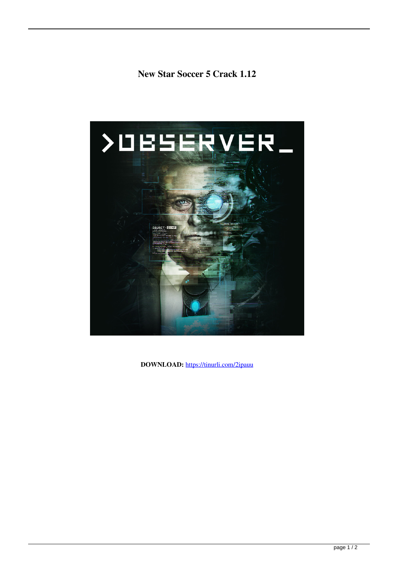

**DOWNLOAD:** <https://tinurli.com/2ipauu>